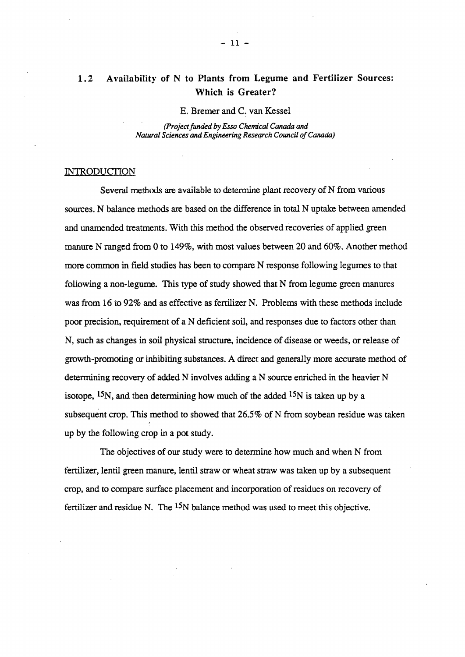# 1.2 Availability of N to Plants from Legume and Fertilizer Sources: Which is Greater?

E. Bremer and C. van Kessel

*(Project funded* by *Esso Chemical Canada and Natural Sciences and Engineering Research Council of Canada)* 

# **INTRODUCTION**

Several methods are available to determine plant recovery of N from various sources. N balance methods are based on the difference in total N uptake between amended and unamended treatments. With this method the observed recoveries of applied green manure N ranged from 0 to 149%, with most values between 20 and 60%. Another method more common in field studies has been to compare N response following legumes to that following a non-legume. This type of study showed that N from legume green manures was from 16 to 92% and as effective as fertilizer N. Problems with these methods include poor precision, requirement of a N deficient soil, and responses due to factors other than N, such as changes in soil physical structure, incidence of disease or weeds, or release of growth-promoting or inhibiting substances. A direct and generally more accurate method of determining recovery of added N involves adding a N source enriched in the heavier N isotope,  $15N$ , and then determining how much of the added  $15N$  is taken up by a subsequent crop. This method to showed that 26.5% of N from soybean residue was taken up by the following crop in a pot study.

The objectives of our study were to determine how much and when N from fertilizer, lentil green manure, lentil straw or wheat straw was taken up by a subsequent crop, and to compare surface placement and incorporation of residues on recovery of fertilizer and residue N. The <sup>15</sup>N balance method was used to meet this objective.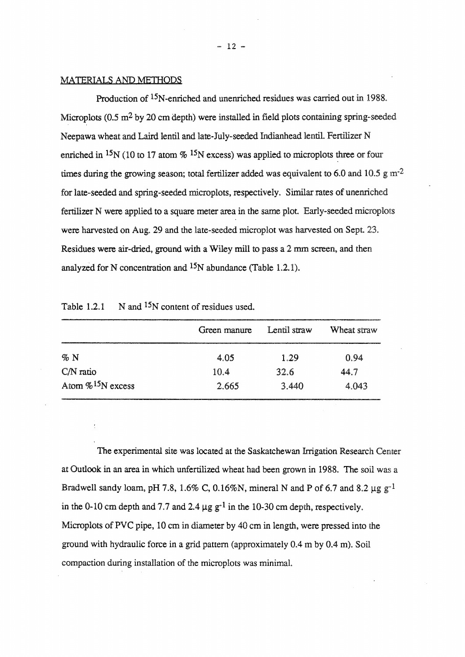### MATERIALS AND METHODS

Production of 15N-enriched and unenriched residues was carried out in 1988. Microplots  $(0.5 \text{ m}^2)$  by 20 cm depth) were installed in field plots containing spring-seeded Neepawa wheat and Laird lentil and late-July-seeded Indianhead lentil. Fertilizer N enriched in <sup>15</sup>N (10 to 17 atom  $\%$  <sup>15</sup>N excess) was applied to microplots three or four times during the growing season; total fertilizer added was equivalent to 6.0 and 10.5 g m<sup>-2</sup> for late-seeded and spring-seeded microplots, respectively. Similar rates of unenriched fertilizer N were applied to a square meter area in the same plot. Early-seeded microplots were harvested on Aug. 29 and the late-seeded microplot was harvested on Sept. 23. Residues were air-dried. ground with a Wiley mill to pass a 2 mm screen, and then analyzed for N concentration and 15N abundance (Table 1.2.1).

|                                  | Green manure | Lentil straw | Wheat straw |
|----------------------------------|--------------|--------------|-------------|
| $\%$ N                           | 4.05         | 1.29         | 0.94        |
| $CN$ ratio                       | 10.4         | 32.6         | 14 7        |
| Atom $\%$ <sup>15</sup> N excess | 2.665        | 3.440        | 4.043       |

Table 1.2.1  $\ldots$  N and <sup>15</sup>N content of residues used.

The experimental site was located at the Saskatchewan Irrigation Research Center at Outlook in an area in which unfertilized wheat had been grown in 1988. The soil was a Bradwell sandy loam, pH 7.8, 1.6% C, 0.16%N, mineral N and P of 6.7 and 8.2  $\mu$ g g<sup>-1</sup> in the 0-10 cm depth and 7.7 and 2.4  $\mu$ g g<sup>-1</sup> in the 10-30 cm depth, respectively. Microplots of PVC pipe, 10 em in diameter by 40 em in length, were pressed into the ground with hydraulic force in a grid pattern (approximately 0.4 m by 0.4 m). Soil compaction during installation of the microplots was minimal.

 $-12 -$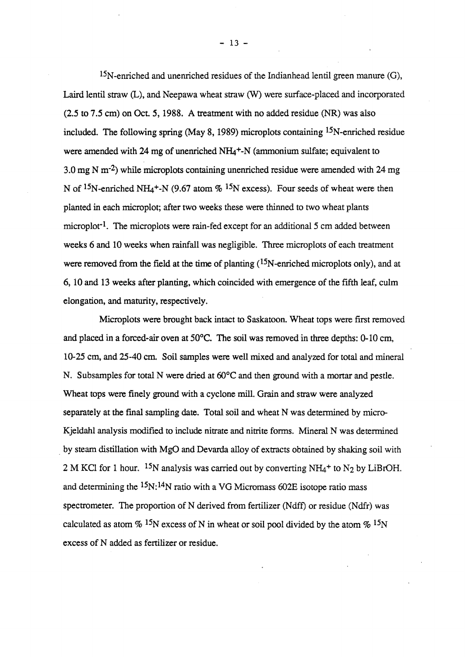15N-enriched and unenriched residues of the Indianhead lentil green manure (G), Laird lentil straw (L), and Neepawa wheat straw (W) were surface-placed and incorporated (2.5 to 7.5 em) on Oct. 5, 1988. A treatment with no added residue (NR) was also included. The following spring (May 8, 1989) microplots containing  $15N$ -enriched residue were amended with 24 mg of unenriched  $NH<sub>4</sub>$ <sup>+</sup>-N (ammonium sulfate; equivalent to 3.0 mg N m·2) while microplots containing unenriched residue were amended with 24 mg N of <sup>15</sup>N-enriched NH<sub>4</sub><sup>+</sup>-N (9.67 atom % <sup>15</sup>N excess). Four seeds of wheat were then planted in each microplot; after two weeks these were thinned to two wheat plants microplot<sup>-1</sup>. The microplots were rain-fed except for an additional 5 cm added between weeks 6 and 10 weeks when rainfall was negligible. Three microplots of each treatment were removed from the field at the time of planting  $(^{15}N$ -enriched microplots only), and at 6, 10 and 13 weeks after planting, which coincided with emergence of the fifth leaf, culm elongation, and maturity, respectively.

Microplots were brought back intact to Saskatoon. Wheat tops were first removed and placed in a forced-air oven at 50°C. The soil was removed in three depths: 0-10 em, 10-25 em, and 25-40 em. Soil samples were well mixed and analyzed for total and mineral N. Subsamples for total N were dried at 60°C and then ground with a mortar and pestle. Wheat tops were finely ground with a cyclone mill. Grain and straw were analyzed separately at the fmal sampling date. Total soil and wheat N was determined by micro-Kjeldahl analysis modified to include nitrate and nitrite forms. Mineral N was determined . by steam distillation with MgO and Devarda alloy of extracts obtained by shaking soil with 2 M KCl for 1 hour. <sup>15</sup>N analysis was carried out by converting NH<sub>4</sub><sup>+</sup> to N<sub>2</sub> by LiBrOH. and determining the  $15N:14N$  ratio with a VG Micromass 602E isotope ratio mass spectrometer. The proportion of N derived from fertilizer (Ndff) or residue (Ndfr) was calculated as atom  $\%$  <sup>15</sup>N excess of N in wheat or soil pool divided by the atom  $\%$  <sup>15</sup>N excess of N added as fertilizer or residue.

 $-13 -$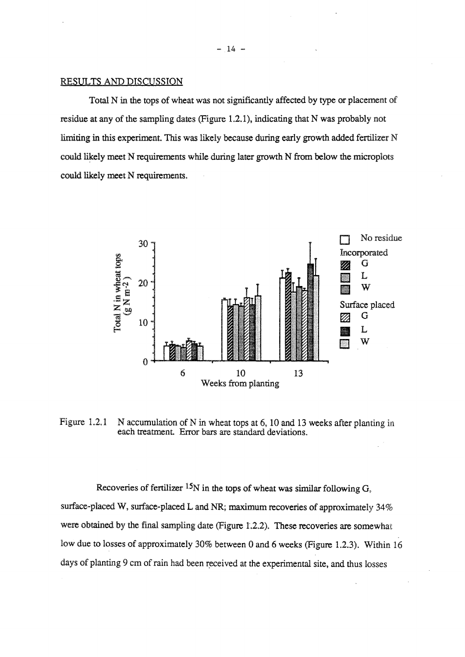#### RESULTS AND DISCUSSION

Total N in the tops of wheat was not significantly affected by type or placement of residue at any of the sampling dates (Figure 1.2.1), indicating that N was probably not limiting in this experiment. This was likely because during early growth added fertilizer  $N$ could likely meet N requirements while during later growth N from below the microplots could likely meet N requirements.



Figure 1.2.1 N accumulation of N in wheat tops at 6, 10 and 13 weeks after planting in each treatment. Error bars are standard deviations.

Recoveries of fertilizer <sup>15</sup>N in the tops of wheat was similar following  $G<sub>s</sub>$ surface-placed W, surface-placed L and NR; maximum recoveries of approximately 34% were obtained by the final sampling date (Figure 1.2.2). These recoveries are somewhat low due to losses of approximately 30% between 0 and 6 weeks (Figure 1.2.3). Within 16 days of planting 9 cm of rain had been received at the experimental site, and thus losses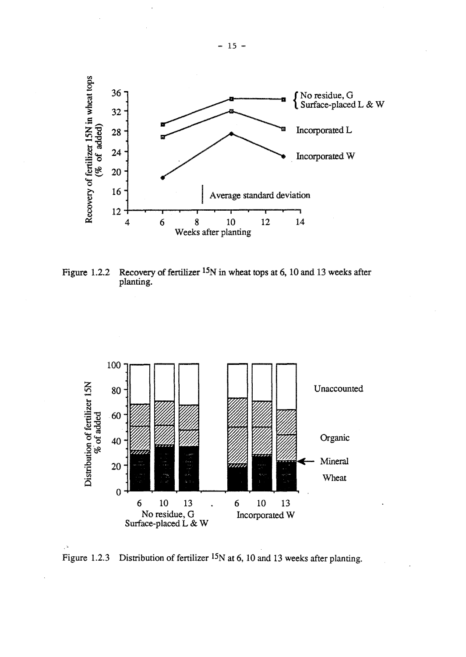

Figure 1.2.2 Recovery of fertilizer <sup>15</sup>N in wheat tops at 6, 10 and 13 weeks after planting.



Figure 1.2.3 Distribution of fertilizer <sup>15</sup>N at 6, 10 and 13 weeks after planting.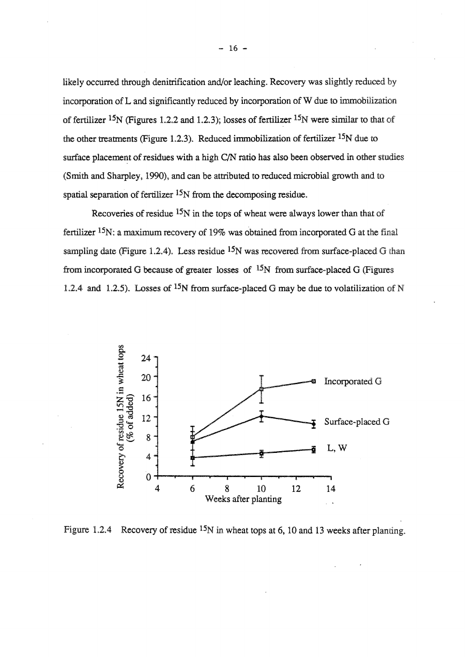likely occurred through denitrification and/or leaching. Recovery was slightly reduced by incorporation of L and significantly reduced by incorporation of W due to immobilization of fertilizer <sup>15</sup>N (Figures 1.2.2 and 1.2.3); losses of fertilizer <sup>15</sup>N were similar to that of the other treatments (Figure 1.2.3). Reduced immobilization of fertilizer  $15N$  due to surface placement of residues with a high C/N ratio has also been observed in other studies (Smith and Sharpley. 1990). and can be attributed to reduced microbial growth and to spatial separation of fertilizer  $15N$  from the decomposing residue.

Recoveries of residue  $15N$  in the tops of wheat were always lower than that of fertilizer  $15N$ : a maximum recovery of 19% was obtained from incorporated G at the final sampling date (Figure 1.2.4). Less residue  $15N$  was recovered from surface-placed G than from incorporated G because of greater losses of  $15N$  from surface-placed G (Figures 1.2.4 and 1.2.5). Losses of <sup>15</sup>N from surface-placed G may be due to volatilization of N



Figure 1.2.4 Recovery of residue <sup>15</sup>N in wheat tops at 6, 10 and 13 weeks after planting.

 $-16 -$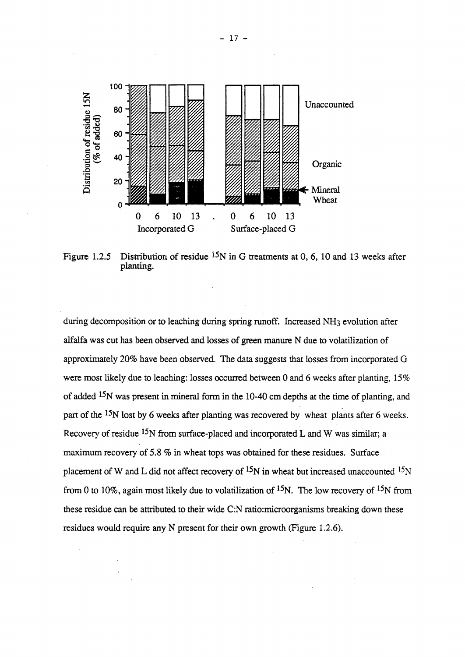

Figure 1.2.5 Distribution of residue  $15N$  in G treatments at 0, 6, 10 and 13 weeks after planting.

during decomposition or to leaching during spring runoff. Increased NH<sub>3</sub> evolution after alfalfa was cut has been observed and losses of green manure N due to volatilization of approximately 20% have been observed. The data suggests that losses from incorporated G were most likely due to leaching: losses occurred between 0 and 6 weeks after planting, 15% of added <sup>15</sup>N was present in mineral form in the 10-40 cm depths at the time of planting, and part of the <sup>15</sup>N lost by 6 weeks after planting was recovered by wheat plants after 6 weeks. Recovery of residue <sup>15</sup>N from surface-placed and incorporated L and W was similar; a maximum recovery of 5.8% in wheat tops was obtained for these residues. Surface placement of W and L did not affect recovery of  $^{15}N$  in wheat but increased unaccounted  $^{15}N$ from 0 to 10%, again most likely due to volatilization of  $15N$ . The low recovery of  $15N$  from these residue can be attributed to their wide C:N ratio:microorganisms breaking down these residues would require any N present for their own growth (Figure 1.2.6).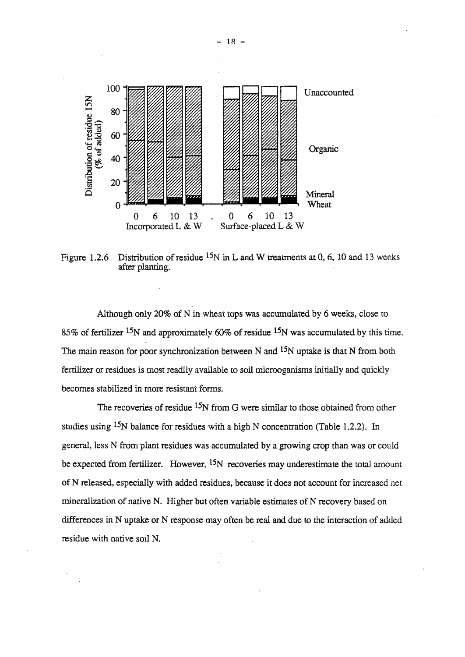

Figure 1.2.6 Distribution of residue  $^{15}N$  in L and W treatments at 0, 6, 10 and 13 weeks after planting.

Although only 20% of N in wheat tops was accumulated by 6 weeks, close to 85% of fertilizer 15N and approximately 60% of residue 15N was accumulated by this time. The main reason for poor synchronization between N and <sup>15</sup>N uptake is that N from both fertilizer or residues is most readily available to soil microoganisms initially and quickly becomes stabilized in more resistant forms.

The recoveries of residue <sup>15</sup>N from G were similar to those obtained from other studies using <sup>15</sup>N balance for residues with a high N concentration (Table 1.2.2). In general, less N from plant residues was accumulated by a growing crop than was or could be expected from fertilizer. However,  $15N$  recoveries may underestimate the total amount of N released. especially with added residues, because it does not account for increased net mineralization of native N. Higher but often variable estimates of N recovery based on differences in N uptake or N response may often be real and due to the interaction of added residue with native soil N.